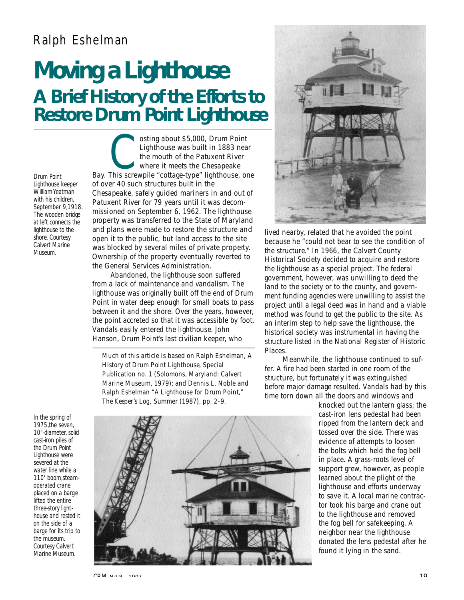## Ralph Eshelman

## **M oving a Lighthouse A Brief History of the Efforts to Restore Drum Point Lighthouse**

*Drum Point Lighthouse keeper William Yeatman with his children, September 9,1918. The wooden bridge at left connects the lighthouse to the shore. Courtesy Calvert Marine Museum.*

osting about \$5,000, Drum Point<br>Lighthouse was built in 1883 near<br>the mouth of the Patuxent River<br>where it meets the Chesapeake<br>Bay. This screwpile "cottage-type" lighthouse, one osting about \$5,000, Drum Point Lighthouse was built in 1883 near the mouth of the Patuxent River where it meets the Chesapeake of over 40 such structures built in the Chesapeake, safely guided mariners in and out of Patuxent River for 79 years until it was decommissioned on September 6, 1962. The lighthouse property was transferred to the State of Maryland and plans were made to restore the structure and open it to the public, but land access to the site was blocked by several miles of private property. Ownership of the property eventually reverted to the General Services Administration.

Abandoned, the lighthouse soon suffered from a lack of maintenance and vandalism. The lighthouse was originally built off the end of Drum Point in water deep enough for small boats to pass between it and the shore. Over the years, however, the point accreted so that it was accessible by foot. Vandals easily entered the lighthouse. John Hanson, Drum Point's last civilian keeper, who

Much of this article is based on Ralph Eshelman, *A History of Drum Point Lighthouse,* Special Publication no. 1 (Solomons, Maryland: Calvert Marine Museum, 1979); and Dennis L. Noble and Ralph Eshelman "A Lighthouse for Drum Point," *The Keeper's Log,* Summer (1987), pp. 2–9.



lived nearby, related that he avoided the point because he "could not bear to see the condition of the structure." In 1966, the Calvert County Historical Society decided to acquire and restore the lighthouse as a special project. The federal government, however, was unwilling to deed the land to the society or to the county, and government funding agencies were unwilling to assist the p roject until a legal deed was in hand and a viable method was found to get the public to the site. As an interim step to help save the lighthouse, the historical society was instrumental in having the structure listed in the National Register of Historic Places.

Meanwhile, the lighthouse continued to suffer. A fire had been started in one room of the structure, but fortunately it was extinguished before major damage resulted. Vandals had by this time torn down all the doors and windows and

knocked out the lantern glass; the cast-iron lens pedestal had been ripped from the lantern deck and tossed over the side. There was evidence of attempts to loosen the bolts which held the fog bell in place. A grass-roots level of support grew, however, as people learned about the plight of the lighthouse and efforts underway to save it. A local marine contractor took his barge and crane out to the lighthouse and removed the fog bell for safekeeping. A neighbor near the lighthouse donated the lens pedestal after he found it lying in the sand.

*In the spring of 1975,the seven, 10"-diameter, solid cast-iron piles of the Drum Point Lighthouse were severed at the water line while a 110' boom,steamoperated crane placed on a barge lifted the entire three-story lighthouse and rested it on the side of a barge for its trip to the museum. Courtesy Calvert Marine Museum.*